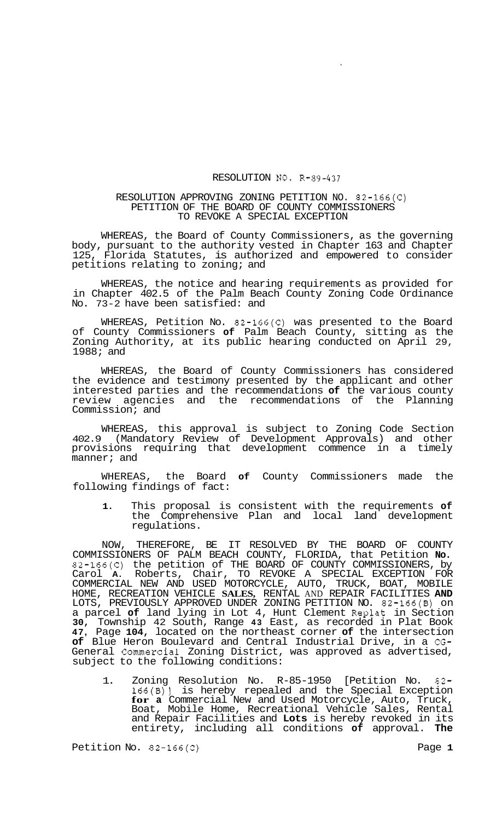## RESOLUTION NO. R-89-437

## RESOLUTION APPROVING ZONING PETITION NO. 82-166(C) PETITION OF THE BOARD OF COUNTY COMMISSIONERS TO REVOKE A SPECIAL EXCEPTION

WHEREAS, the Board of County Commissioners, as the governing body, pursuant to the authority vested in Chapter 163 and Chapter 125, Florida Statutes, is authorized and empowered to consider petitions relating to zoning; and

WHEREAS, the notice and hearing requirements as provided for in Chapter 402.5 of the Palm Beach County Zoning Code Ordinance No. 73-2 have been satisfied: and

WHEREAS, Petition No. 82-166(C) was presented to the Board of County Commissioners **of** Palm Beach County, sitting as the Zoning Authority, at its public hearing conducted on April 29, 1988; and

WHEREAS, the Board of County Commissioners has considered the evidence and testimony presented by the applicant and other interested parties and the recommendations **of** the various county review agencies and the recommendations of the Planning Commission; and

WHEREAS, this approval is subject to Zoning Code Section 402.9 (Mandatory Review of Development Approvals) and other provisions requiring that development commence in a timely manner; and

WHEREAS, the Board **of** County Commissioners made the following findings of fact:

**1.** This proposal is consistent with the requirements **of**  the Comprehensive Plan and local land development regulations.

NOW, THEREFORE, BE IT RESOLVED BY THE BOARD OF COUNTY COMMISSIONERS OF PALM BEACH COUNTY, FLORIDA, that Petition **No.**  82-166(C) the petition of THE BOARD OF COUNTY COMMISSIONERS, by Carol **A.** Roberts, Chair, TO REVOKE A SPECIAL EXCEPTION FOR COMMERCIAL NEW AND USED MOTORCYCLE, AUTO, TRUCK, BOAT, MOBILE HOME, RECREATION VEHICLE **SALES,** RENTAL AND REPAIR FACILITIES **AND**  LOTS, PREVIOUSLY APPROVED UNDER ZONING PETITION NO. 82-166(B) on a parcel **of** land lying in Lot 4, Hunt Clement Replat in Section **30,** Township 42 South, Range **43** East, as recorded in Plat Book **47,** Page **104,** located on the northeast corner **of** the intersection **of** Blue Heron Boulevard and Central Industrial Drive, in a CG-General Commercial Zoning District, was approved as advertised, subject to the following conditions:

1. Zoning Resolution No. R-85-1950 [Petition No. 82- 166(B)] is hereby repealed and the Special Exception **for a** Commercial New and Used Motorcycle, Auto, Truck, Boat, Mobile Home, Recreational Vehicle Sales, Rental and Repair Facilities and **Lots** is hereby revoked in its entirety, including all conditions **of** approval. **The**